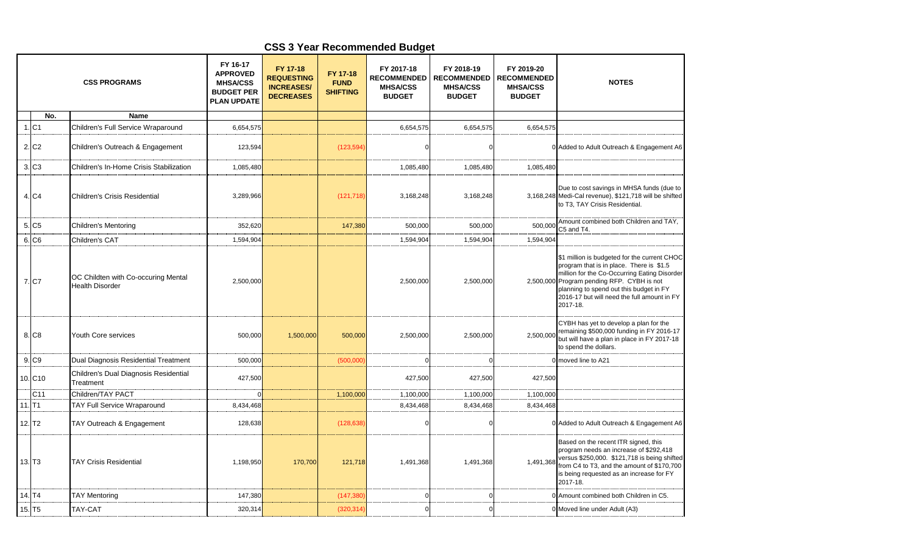## **CSS 3 Year Recommended Budget**

|                      |                      | <b>CSS PROGRAMS</b>                                           | FY 16-17<br><b>APPROVED</b><br><b>MHSA/CSS</b><br><b>BUDGET PER</b><br><b>PLAN UPDATE</b> | FY 17-18<br><b>REQUESTING</b><br><b>INCREASES/</b><br><b>DECREASES</b> | FY 17-18<br><b>FUND</b><br><b>SHIFTING</b> | FY 2017-18<br><b>RECOMMENDED</b><br><b>MHSA/CSS</b><br><b>BUDGET</b> | FY 2018-19<br><b>RECOMMENDED</b><br><b>MHSA/CSS</b><br><b>BUDGET</b> | FY 2019-20<br><b>RECOMMENDED</b><br><b>MHSA/CSS</b><br><b>BUDGET</b> | <b>NOTES</b>                                                                                                                                                                                                                                                                                 |
|----------------------|----------------------|---------------------------------------------------------------|-------------------------------------------------------------------------------------------|------------------------------------------------------------------------|--------------------------------------------|----------------------------------------------------------------------|----------------------------------------------------------------------|----------------------------------------------------------------------|----------------------------------------------------------------------------------------------------------------------------------------------------------------------------------------------------------------------------------------------------------------------------------------------|
|                      | No.                  | <b>Name</b>                                                   |                                                                                           |                                                                        |                                            |                                                                      |                                                                      |                                                                      |                                                                                                                                                                                                                                                                                              |
|                      | $1.$ C1              | Children's Full Service Wraparound                            | 6,654,575                                                                                 |                                                                        |                                            | 6,654,575                                                            | 6,654,575                                                            | 6,654,575                                                            |                                                                                                                                                                                                                                                                                              |
|                      | 2. C <sub>2</sub>    | Children's Outreach & Engagement                              | 123,594                                                                                   |                                                                        | (123, 594)                                 |                                                                      | $\Omega$                                                             |                                                                      | 0 Added to Adult Outreach & Engagement A6                                                                                                                                                                                                                                                    |
|                      | 3. C3                | Children's In-Home Crisis Stabilization                       | 1,085,480                                                                                 |                                                                        |                                            | 1,085,480                                                            | 1,085,480                                                            | 1,085,480                                                            |                                                                                                                                                                                                                                                                                              |
|                      | 4. C4                | Children's Crisis Residential                                 | 3,289,966                                                                                 |                                                                        | (121, 718)                                 | 3,168,248                                                            | 3,168,248                                                            |                                                                      | Due to cost savings in MHSA funds (due to<br>3,168,248 Medi-Cal revenue), \$121,718 will be shifted<br>to T3, TAY Crisis Residential.                                                                                                                                                        |
|                      | 5. C <sub>5</sub>    | <b>Children's Mentoring</b>                                   | 352,620                                                                                   |                                                                        | 147,380                                    | 500,000                                                              | 500,000                                                              | 500,000                                                              | Amount combined both Children and TAY,<br>C5 and T4.                                                                                                                                                                                                                                         |
|                      | 6. C <sub>6</sub>    | Children's CAT                                                | 1,594,904                                                                                 |                                                                        |                                            | 1,594,904                                                            | 1,594,904                                                            | 1,594,904                                                            |                                                                                                                                                                                                                                                                                              |
|                      | 7. C7                | OC Childten with Co-occuring Mental<br><b>Health Disorder</b> | 2,500,000                                                                                 |                                                                        |                                            | 2,500,000                                                            | 2,500,000                                                            |                                                                      | \$1 million is budgeted for the current CHOC<br>program that is in place. There is \$1.5<br>million for the Co-Occurring Eating Disorder<br>2,500,000 Program pending RFP. CYBH is not<br>planning to spend out this budget in FY<br>2016-17 but will need the full amount in FY<br>2017-18. |
|                      | 8. C8                | Youth Core services                                           | 500,000                                                                                   | 1,500,000                                                              | 500,000                                    | 2,500,000                                                            | 2,500,000                                                            | 2,500,000                                                            | CYBH has yet to develop a plan for the<br>remaining \$500,000 funding in FY 2016-17<br>but will have a plan in place in FY 2017-18<br>to spend the dollars.                                                                                                                                  |
|                      | 9. C9                | Dual Diagnosis Residential Treatment                          | 500,000                                                                                   |                                                                        | (500,000)                                  |                                                                      | $\Omega$                                                             |                                                                      | 0 moved line to A21                                                                                                                                                                                                                                                                          |
|                      | 10. C <sub>10</sub>  | Children's Dual Diagnosis Residential<br>Treatment            | 427,500                                                                                   |                                                                        |                                            | 427,500                                                              | 427,500                                                              | 427,500                                                              |                                                                                                                                                                                                                                                                                              |
|                      | C <sub>11</sub>      | Children/TAY PACT                                             |                                                                                           |                                                                        | 1,100,000                                  | 1,100,000                                                            | 1,100,000                                                            | 1,100,000                                                            |                                                                                                                                                                                                                                                                                              |
| 11.                  | T1                   | <b>TAY Full Service Wraparound</b>                            | 8,434,468                                                                                 |                                                                        |                                            | 8,434,468                                                            | 8,434,468                                                            | 8,434,468                                                            |                                                                                                                                                                                                                                                                                              |
|                      | 12. T <sub>2</sub>   | TAY Outreach & Engagement                                     | 128,638                                                                                   |                                                                        | (128, 638)                                 |                                                                      | $\Omega$                                                             |                                                                      | 0 Added to Adult Outreach & Engagement A6                                                                                                                                                                                                                                                    |
|                      | $13.$ T <sub>3</sub> | <b>TAY Crisis Residential</b>                                 | 1,198,950                                                                                 | 170,700                                                                | 121,718                                    | 1,491,368                                                            | 1,491,368                                                            | 1,491,368                                                            | Based on the recent ITR signed, this<br>program needs an increase of \$292,418<br>versus \$250,000. \$121,718 is being shifted<br>from C4 to T3, and the amount of \$170,700<br>is being requested as an increase for FY<br>2017-18.                                                         |
| 14. T4               |                      | <b>TAY Mentoring</b>                                          | 147,380                                                                                   |                                                                        | (147, 380)                                 |                                                                      |                                                                      |                                                                      | 0 Amount combined both Children in C5.                                                                                                                                                                                                                                                       |
| $15.$ T <sub>5</sub> |                      | TAY-CAT                                                       | 320,314                                                                                   |                                                                        | (320, 314)                                 |                                                                      | $\Omega$                                                             |                                                                      | 0 Moved line under Adult (A3)                                                                                                                                                                                                                                                                |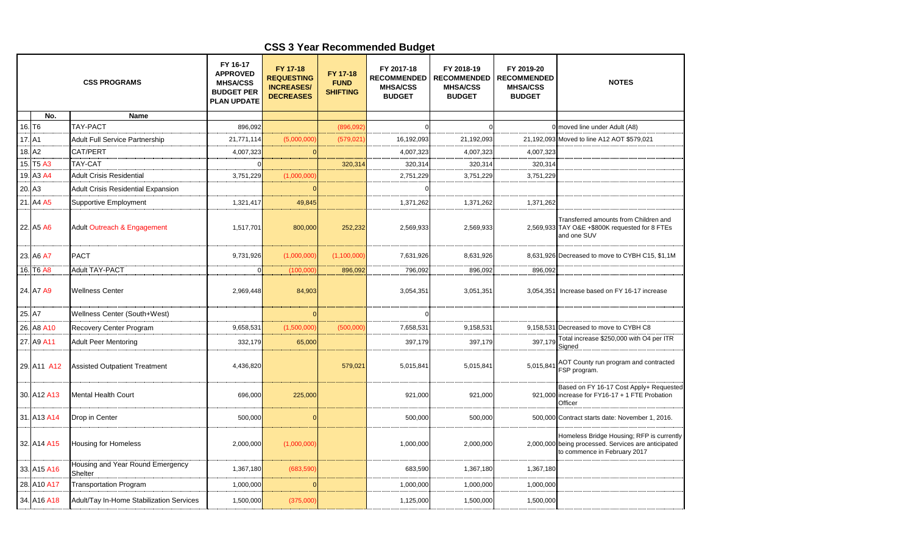## **CSS 3 Year Recommended Budget**

| <b>CSS PROGRAMS</b> |                                   |                                             | FY 16-17<br><b>APPROVED</b><br><b>MHSA/CSS</b><br><b>BUDGET PER</b><br><b>PLAN UPDATE</b> | FY 17-18<br><b>REQUESTING</b><br><b>INCREASES/</b><br><b>DECREASES</b> | FY 17-18<br><b>FUND</b><br><b>SHIFTING</b> | FY 2017-18<br><b>RECOMMENDED</b><br><b>MHSA/CSS</b><br><b>BUDGET</b> | FY 2018-19<br><b>RECOMMENDED</b><br><b>MHSA/CSS</b><br><b>BUDGET</b> | FY 2019-20<br><b>RECOMMENDED</b><br><b>MHSA/CSS</b><br><b>BUDGET</b> | <b>NOTES</b>                                                                                                                     |
|---------------------|-----------------------------------|---------------------------------------------|-------------------------------------------------------------------------------------------|------------------------------------------------------------------------|--------------------------------------------|----------------------------------------------------------------------|----------------------------------------------------------------------|----------------------------------------------------------------------|----------------------------------------------------------------------------------------------------------------------------------|
|                     | No.                               | Name                                        |                                                                                           |                                                                        |                                            |                                                                      |                                                                      |                                                                      |                                                                                                                                  |
|                     | 16. T <sub>6</sub>                | <b>TAY-PACT</b>                             | 896,092                                                                                   |                                                                        | (896,092)                                  |                                                                      |                                                                      |                                                                      | 0 moved line under Adult (A8)                                                                                                    |
| 17. A1              |                                   | <b>Adult Full Service Partnership</b>       | 21,771,114                                                                                | (5,000,000)                                                            | (579, 021)                                 | 16,192,093                                                           | 21,192,093                                                           | 21,192,093                                                           | Moved to line A12 AOT \$579,021                                                                                                  |
| 18.                 | A2                                | CAT/PERT                                    | 4,007,323                                                                                 |                                                                        |                                            | 4,007,323                                                            | 4,007,323                                                            | 4,007,323                                                            |                                                                                                                                  |
|                     | 15. T <sub>5</sub> A <sub>3</sub> | TAY-CAT                                     |                                                                                           |                                                                        | 320,314                                    | 320,314                                                              | 320,314                                                              | 320,314                                                              |                                                                                                                                  |
| 19.                 | A3 A4                             | <b>Adult Crisis Residential</b>             | 3,751,229                                                                                 | (1,000,000)                                                            |                                            | 2,751,229                                                            | 3,751,229                                                            | 3,751,229                                                            |                                                                                                                                  |
| 20.                 | A <sub>3</sub>                    | Adult Crisis Residential Expansion          |                                                                                           |                                                                        |                                            |                                                                      |                                                                      |                                                                      |                                                                                                                                  |
|                     | 21. A4 A5                         | Supportive Employment                       | 1,321,417                                                                                 | 49,845                                                                 |                                            | 1,371,262                                                            | 1,371,262                                                            | 1,371,262                                                            |                                                                                                                                  |
|                     | 22. A5 A6                         | Adult Outreach & Engagement                 | 1,517,701                                                                                 | 800,000                                                                | 252,232                                    | 2,569,933                                                            | 2,569,933                                                            |                                                                      | Transferred amounts from Children and<br>2,569,933 TAY O&E +\$800K requested for 8 FTEs<br>and one SUV                           |
|                     | 23. A6 A7                         | <b>PACT</b>                                 | 9,731,926                                                                                 | (1,000,000)                                                            | (1,100,000)                                | 7,631,926                                                            | 8,631,926                                                            |                                                                      | 8,631,926 Decreased to move to CYBH C15, \$1,1M                                                                                  |
|                     | 16. T6 A8                         | Adult TAY-PACT                              | $\Omega$                                                                                  | (100,000)                                                              | 896,092                                    | 796,092                                                              | 896,092                                                              | 896,092                                                              |                                                                                                                                  |
|                     | 24. A7 A9                         | <b>Wellness Center</b>                      | 2,969,448                                                                                 | 84,903                                                                 |                                            | 3,054,351                                                            | 3,051,351                                                            | 3,054,351                                                            | Increase based on FY 16-17 increase                                                                                              |
| 25. A7              |                                   | Wellness Center (South+West)                |                                                                                           |                                                                        |                                            |                                                                      |                                                                      |                                                                      |                                                                                                                                  |
| 26.                 | A8 A10                            | Recovery Center Program                     | 9,658,531                                                                                 | (1,500,000)                                                            | (500,000)                                  | 7,658,53                                                             | 9,158,531                                                            | 9,158,531                                                            | Decreased to move to CYBH C8                                                                                                     |
| 27.                 | A9 A11                            | <b>Adult Peer Mentoring</b>                 | 332,179                                                                                   | 65,000                                                                 |                                            | 397,179                                                              | 397,179                                                              | 397,179                                                              | Total increase \$250,000 with O4 per ITR<br>Signed                                                                               |
|                     | 29. A11 A12                       | <b>Assisted Outpatient Treatment</b>        | 4,436,820                                                                                 |                                                                        | 579,021                                    | 5,015,841                                                            | 5,015,841                                                            | 5,015,841                                                            | AOT County run program and contracted<br>FSP program.                                                                            |
|                     | 30. A12 A13                       | <b>Mental Health Court</b>                  | 696,000                                                                                   | 225,000                                                                |                                            | 921,000                                                              | 921,000                                                              |                                                                      | Based on FY 16-17 Cost Apply+ Requested<br>921,000 increase for FY16-17 + 1 FTE Probation<br>Officer                             |
|                     | 31. A13 A14                       | Drop in Center                              | 500,000                                                                                   |                                                                        |                                            | 500,000                                                              | 500,000                                                              |                                                                      | 500,000 Contract starts date: November 1, 2016.                                                                                  |
|                     | 32. A14 A15                       | <b>Housing for Homeless</b>                 | 2,000,000                                                                                 | (1,000,000)                                                            |                                            | 1,000,000                                                            | 2,000,000                                                            |                                                                      | Homeless Bridge Housing; RFP is currently<br>2,000,000 being processed. Services are anticipated<br>to commence in February 2017 |
|                     | 33. A15 A16                       | Housing and Year Round Emergency<br>Shelter | 1,367,180                                                                                 | (683, 590)                                                             |                                            | 683,590                                                              | 1,367,180                                                            | 1,367,180                                                            |                                                                                                                                  |
|                     | 28. A10 A17                       | <b>Transportation Program</b>               | 1,000,000                                                                                 |                                                                        |                                            | 1,000,000                                                            | 1,000,000                                                            | 1,000,000                                                            |                                                                                                                                  |
|                     | 34. A16 A18                       | Adult/Tay In-Home Stabilization Services    | 1,500,000                                                                                 | (375,000)                                                              |                                            | 1,125,000                                                            | 1,500,000                                                            | 1,500,000                                                            |                                                                                                                                  |